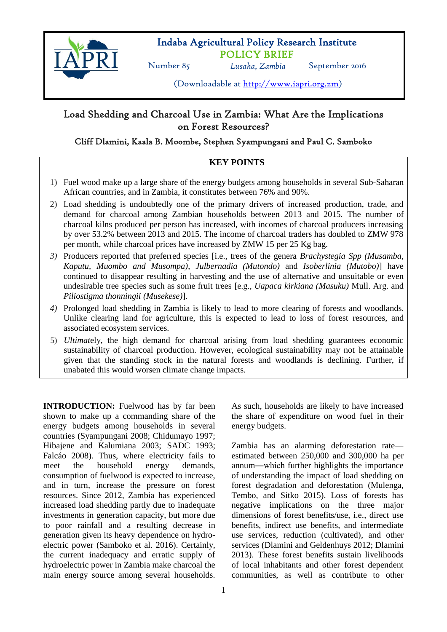

## Indaba Agricultural Policy Research Institute POLICY BRIEF

Number 85 *Lusaka, Zambia* September 2016

(Downloadable at [http://www.iapri.org.zm\)](http://www.iapri.org.zm/)

# Load Shedding and Charcoal Use in Zambia: What Are the Implications on Forest Resources?

## Cliff Dlamini, Kaala B. Moombe, Stephen Syampungani and Paul C. Samboko

## **KEY POINTS**

- 1) Fuel wood make up a large share of the energy budgets among households in several Sub-Saharan African countries, and in Zambia, it constitutes between 76% and 90%.
- 2) Load shedding is undoubtedly one of the primary drivers of increased production, trade, and demand for charcoal among Zambian households between 2013 and 2015. The number of charcoal kilns produced per person has increased, with incomes of charcoal producers increasing by over 53.2% between 2013 and 2015. The income of charcoal traders has doubled to ZMW 978 per month, while charcoal prices have increased by ZMW 15 per 25 Kg bag.
- *3)* Producers reported that preferred species [i.e., trees of the genera *Brachystegia Spp (Musamba, Kaputu, Muombo and Musompa)*, *Julbernadia (Mutondo)* and *Isoberlinia (Mutobo)*] have continued to disappear resulting in harvesting and the use of alternative and unsuitable or even undesirable tree species such as some fruit trees [e.g., *Uapaca kirkiana (Masuku)* Mull. Arg. and *Piliostigma thonningii (Musekese)*].
- *4)* Prolonged load shedding in Zambia is likely to lead to more clearing of forests and woodlands. Unlike clearing land for agriculture, this is expected to lead to loss of forest resources, and associated ecosystem services*.*
- 5) *Ultimat*ely, the high demand for charcoal arising from load shedding guarantees economic sustainability of charcoal production. However, ecological sustainability may not be attainable given that the standing stock in the natural forests and woodlands is declining. Further, if unabated this would worsen climate change impacts.

**INTRODUCTION:** Fuelwood has by far been shown to make up a commanding share of the energy budgets among households in several countries (Syampungani 2008; Chidumayo 1997; Hibajene and Kalumiana 2003; SADC 1993; Falcáo 2008). Thus, where electricity fails to meet the household energy demands, consumption of fuelwood is expected to increase, and in turn, increase the pressure on forest resources. Since 2012, Zambia has experienced increased load shedding partly due to inadequate investments in generation capacity, but more due to poor rainfall and a resulting decrease in generation given its heavy dependence on hydroelectric power (Samboko et al. 2016). Certainly, the current inadequacy and erratic supply of hydroelectric power in Zambia make charcoal the main energy source among several households.

As such, households are likely to have increased the share of expenditure on wood fuel in their energy budgets.

Zambia has an alarming deforestation rate― estimated between 250,000 and 300,000 ha per annum―which further highlights the importance of understanding the impact of load shedding on forest degradation and deforestation (Mulenga, Tembo, and Sitko 2015). Loss of forests has negative implications on the three major dimensions of forest benefits/use, i.e., direct use benefits, indirect use benefits, and intermediate use services, reduction (cultivated), and other services (Dlamini and Geldenhuys 2012; Dlamini 2013). These forest benefits sustain livelihoods of local inhabitants and other forest dependent communities, as well as contribute to other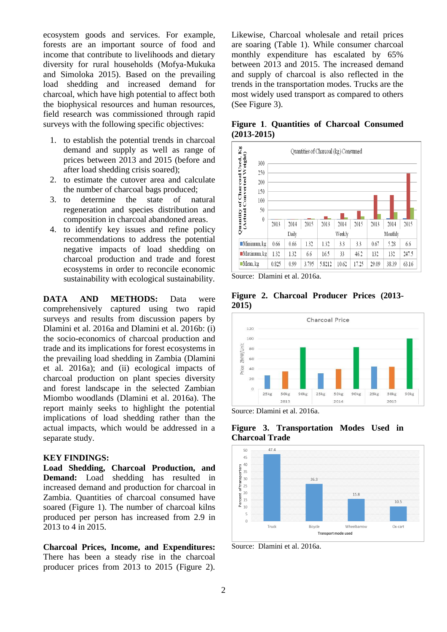ecosystem goods and services. For example, forests are an important source of food and income that contribute to livelihoods and dietary diversity for rural households (Mofya-Mukuka and Simoloka 2015). Based on the prevailing load shedding and increased demand for charcoal, which have high potential to affect both the biophysical resources and human resources, field research was commissioned through rapid surveys with the following specific objectives:

- 1. to establish the potential trends in charcoal demand and supply as well as range of prices between 2013 and 2015 (before and after load shedding crisis soared);
- 2. to estimate the cutover area and calculate the number of charcoal bags produced;
- 3. to determine the state of natural regeneration and species distribution and composition in charcoal abandoned areas.
- 4. to identify key issues and refine policy recommendations to address the potential negative impacts of load shedding on charcoal production and trade and forest ecosystems in order to reconcile economic sustainability with ecological sustainability.

**DATA AND METHODS:** Data were comprehensively captured using two rapid surveys and results from discussion papers by Dlamini et al. 2016a and Dlamini et al. 2016b: (i) the socio-economics of charcoal production and trade and its implications for forest ecosystems in the prevailing load shedding in Zambia (Dlamini et al. 2016a); and (ii) ecological impacts of charcoal production on plant species diversity and forest landscape in the selected Zambian Miombo woodlands (Dlamini et al. 2016a). The report mainly seeks to highlight the potential implications of load shedding rather than the actual impacts, which would be addressed in a separate study.

#### **KEY FINDINGS:**

**Load Shedding, Charcoal Production, and Demand:** Load shedding has resulted in increased demand and production for charcoal in Zambia. Quantities of charcoal consumed have soared (Figure 1). The number of charcoal kilns produced per person has increased from 2.9 in 2013 to 4 in 2015.

**Charcoal Prices, Income, and Expenditures:**  There has been a steady rise in the charcoal producer prices from 2013 to 2015 (Figure 2).

Likewise, Charcoal wholesale and retail prices are soaring (Table 1). While consumer charcoal monthly expenditure has escalated by 65% between 2013 and 2015. The increased demand and supply of charcoal is also reflected in the trends in the transportation modes. Trucks are the most widely used transport as compared to others (See Figure 3).

**Figure 1**. **Quantities of Charcoal Consumed (2013-2015)**



Source: Dlamini et al. 2016a.

**Figure 2. Charcoal Producer Prices (2013- 2015)** 



Source: Dlamini et al. 2016a.

**Figure 3. Transportation Modes Used in Charcoal Trade**



Source: Dlamini et al. 2016a.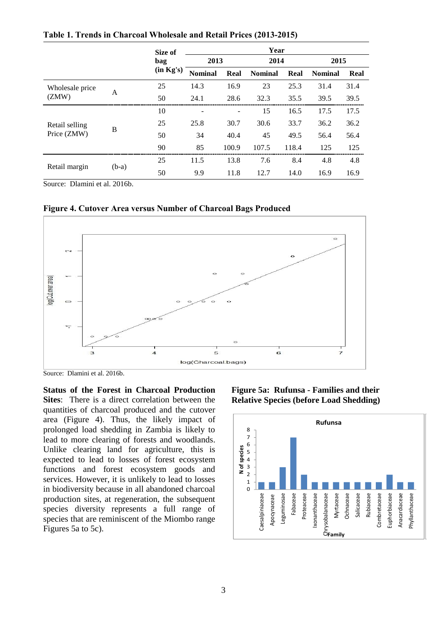|                               |         | Size of   | Year           |       |                |       |                |      |
|-------------------------------|---------|-----------|----------------|-------|----------------|-------|----------------|------|
|                               |         | bag       | 2013           |       | 2014           |       | 2015           |      |
|                               |         | (in Kg's) | <b>Nominal</b> | Real  | <b>Nominal</b> | Real  | <b>Nominal</b> | Real |
| Wholesale price<br>(ZMW)      | A       | 25        | 14.3           | 16.9  | 23             | 25.3  | 31.4           | 31.4 |
|                               |         | 50        | 24.1           | 28.6  | 32.3           | 35.5  | 39.5           | 39.5 |
| Retail selling<br>Price (ZMW) | B       | 10        |                |       | 15             | 16.5  | 17.5           | 17.5 |
|                               |         | 25        | 25.8           | 30.7  | 30.6           | 33.7  | 36.2           | 36.2 |
|                               |         | 50        | 34             | 40.4  | 45             | 49.5  | 56.4           | 56.4 |
|                               |         | 90        | 85             | 100.9 | 107.5          | 118.4 | 125            | 125  |
| Retail margin                 | $(b-a)$ | 25        | 11.5           | 13.8  | 7.6            | 8.4   | 4.8            | 4.8  |
|                               |         | 50        | 9.9            | 11.8  | 12.7           | 14.0  | 16.9           | 16.9 |

**Table 1. Trends in Charcoal Wholesale and Retail Prices (2013-2015)**

Source: Dlamini et al. 2016b.

**Figure 4. Cutover Area versus Number of Charcoal Bags Produced**



Source: Dlamini et al. 2016b.

**Status of the Forest in Charcoal Production Sites**: There is a direct correlation between the quantities of charcoal produced and the cutover area (Figure 4). Thus, the likely impact of prolonged load shedding in Zambia is likely to lead to more clearing of forests and woodlands. Unlike clearing land for agriculture, this is expected to lead to losses of forest ecosystem functions and forest ecosystem goods and services. However, it is unlikely to lead to losses in biodiversity because in all abandoned charcoal production sites, at regeneration, the subsequent species diversity represents a full range of species that are reminiscent of the Miombo range Figures 5a to 5c).

**Figure 5a: Rufunsa - Families and their Relative Species (before Load Shedding)**

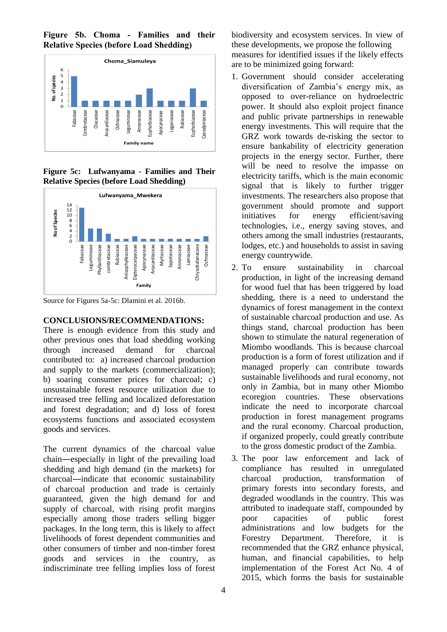Figure 5b. Choma - Families and their<br>Relative-Species-(before-Load-Shedding) **Relative Species (before Load Shedding)** Salicaceae



**Figure 5c: Lufwanyama - Families and Their Relative Species (before Load Shedding)**



Source for Figures 5a-5c: Dlamini et al. 2016b.

#### **CONCLUSIONS/RECOMMENDATIONS:**

There is enough evidence from this study and other previous ones that load shedding working through increased demand for charcoal contributed to: a) increased charcoal production and supply to the markets (commercialization); b) soaring consumer prices for charcoal; c) unsustainable forest resource utilization due to increased tree felling and localized deforestation and forest degradation; and d) loss of forest ecosystems functions and associated ecosystem goods and services.

The current dynamics of the charcoal value chain―especially in light of the prevailing load shedding and high demand (in the markets) for charcoal―indicate that economic sustainability of charcoal production and trade is certainly guaranteed, given the high demand for and supply of charcoal, with rising profit margins especially among those traders selling bigger packages. In the long term, this is likely to affect livelihoods of forest dependent communities and other consumers of timber and non-timber forest goods and services in the country, as indiscriminate tree felling implies loss of forest

biodiversity and ecosystem services. In view of these developments, we propose the following measures for identified issues if the likely effects are to be minimized going forward:

- 1. Government should consider accelerating diversification of Zambia's energy mix, as opposed to over-reliance on hydroelectric power. It should also exploit project finance and public private partnerships in renewable energy investments. This will require that the GRZ work towards de-risking the sector to ensure bankability of electricity generation projects in the energy sector. Further, there will be need to resolve the impasse on electricity tariffs, which is the main economic signal that is likely to further trigger investments. The researchers also propose that government should promote and support initiatives for energy efficient/saving technologies, i.e., energy saving stoves, and others among the small industries (restaurants, lodges, etc.) and households to assist in saving energy countrywide.
- 2. To ensure sustainability in charcoal production, in light of the increasing demand for wood fuel that has been triggered by load shedding, there is a need to understand the dynamics of forest management in the context of sustainable charcoal production and use. As things stand, charcoal production has been shown to stimulate the natural regeneration of Miombo woodlands. This is because charcoal production is a form of forest utilization and if managed properly can contribute towards sustainable livelihoods and rural economy, not only in Zambia, but in many other Miombo ecoregion countries. These observations indicate the need to incorporate charcoal production in forest management programs and the rural economy. Charcoal production, if organized properly, could greatly contribute to the gross domestic product of the Zambia.
- 3. The poor law enforcement and lack of compliance has resulted in unregulated charcoal production, transformation of primary forests into secondary forests, and degraded woodlands in the country. This was attributed to inadequate staff, compounded by poor capacities of public forest administrations and low budgets for the Forestry Department. Therefore, it is recommended that the GRZ enhance physical, human, and financial capabilities, to help implementation of the Forest Act No. 4 of 2015, which forms the basis for sustainable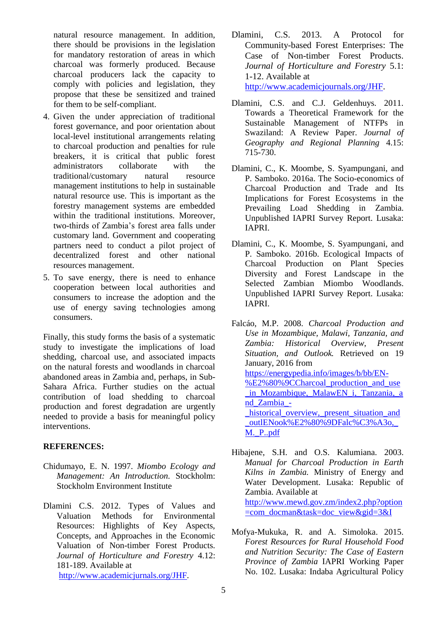natural resource management. In addition, there should be provisions in the legislation for mandatory restoration of areas in which charcoal was formerly produced. Because charcoal producers lack the capacity to comply with policies and legislation, they propose that these be sensitized and trained for them to be self-compliant.

- 4. Given the under appreciation of traditional forest governance, and poor orientation about local-level institutional arrangements relating to charcoal production and penalties for rule breakers, it is critical that public forest administrators collaborate with the traditional/customary natural resource management institutions to help in sustainable natural resource use. This is important as the forestry management systems are embedded within the traditional institutions. Moreover, two-thirds of Zambia's forest area falls under customary land. Government and cooperating partners need to conduct a pilot project of decentralized forest and other national resources management.
- 5. To save energy, there is need to enhance cooperation between local authorities and consumers to increase the adoption and the use of energy saving technologies among consumers.

Finally, this study forms the basis of a systematic study to investigate the implications of load shedding, charcoal use, and associated impacts on the natural forests and woodlands in charcoal abandoned areas in Zambia and, perhaps, in Sub-Sahara Africa. Further studies on the actual contribution of load shedding to charcoal production and forest degradation are urgently needed to provide a basis for meaningful policy interventions.

#### **REFERENCES:**

- Chidumayo, E. N. 1997. *Miombo Ecology and Management: An Introduction.* Stockholm: Stockholm Environment Institute
- Dlamini C.S. 2012. Types of Values and Valuation Methods for Environmental Resources: Highlights of Key Aspects, Concepts, and Approaches in the Economic Valuation of Non-timber Forest Products. *Journal of Horticulture and Forestry* 4.12: 181-189. Available at [http://www.academicjurnals.org/JHF.](http://www.academicjurnals.org/JHF)
- Dlamini, C.S. 2013. A Protocol for Community-based Forest Enterprises: The Case of Non-timber Forest Products. *Journal of Horticulture and Forestry* 5.1: 1-12. Available at [http://www.academicjournals.org/JHF.](http://www.academicjournals.org/JHF)
- Dlamini, C.S. and C.J. Geldenhuys. 2011. Towards a Theoretical Framework for the Sustainable Management of NTFPs in Swaziland: A Review Paper. *Journal of Geography and Regional Planning* 4.15: 715-730.
- Dlamini, C., K. Moombe, S. Syampungani, and P. Samboko. 2016a. The Socio-economics of Charcoal Production and Trade and Its Implications for Forest Ecosystems in the Prevailing Load Shedding in Zambia. Unpublished IAPRI Survey Report. Lusaka: IAPRI.
- Dlamini, C., K. Moombe, S. Syampungani, and P. Samboko. 2016b. Ecological Impacts of Charcoal Production on Plant Species Diversity and Forest Landscape in the Selected Zambian Miombo Woodlands. Unpublished IAPRI Survey Report. Lusaka: IAPRI.
- Falcáo, M.P. 2008. *Charcoal Production and Use in Mozambique, Malawi, Tanzania, and Zambia: Historical Overview, Present Situation, and Outlook.* Retrieved on 19 January, 2016 from [https://energypedia.info/images/b/bb/EN-](https://energypedia.info/images/b/bb/EN-%E2%80%9CCharcoal_production_and_use_in_Mozambique,_MalawEN_i,_Tanzania,_and_Zambia_-_historical_overview,_present_situation_and_outlENook%E2%80%9DFalc%C3%A3o,_M._P..pdf) [%E2%80%9CCharcoal\\_production\\_and\\_use](https://energypedia.info/images/b/bb/EN-%E2%80%9CCharcoal_production_and_use_in_Mozambique,_MalawEN_i,_Tanzania,_and_Zambia_-_historical_overview,_present_situation_and_outlENook%E2%80%9DFalc%C3%A3o,_M._P..pdf) [\\_in\\_Mozambique,\\_MalawEN\\_i,\\_Tanzania,\\_a](https://energypedia.info/images/b/bb/EN-%E2%80%9CCharcoal_production_and_use_in_Mozambique,_MalawEN_i,_Tanzania,_and_Zambia_-_historical_overview,_present_situation_and_outlENook%E2%80%9DFalc%C3%A3o,_M._P..pdf) [nd\\_Zambia\\_](https://energypedia.info/images/b/bb/EN-%E2%80%9CCharcoal_production_and_use_in_Mozambique,_MalawEN_i,_Tanzania,_and_Zambia_-_historical_overview,_present_situation_and_outlENook%E2%80%9DFalc%C3%A3o,_M._P..pdf) historical overview, present situation and [\\_outlENook%E2%80%9DFalc%C3%A3o,\\_](https://energypedia.info/images/b/bb/EN-%E2%80%9CCharcoal_production_and_use_in_Mozambique,_MalawEN_i,_Tanzania,_and_Zambia_-_historical_overview,_present_situation_and_outlENook%E2%80%9DFalc%C3%A3o,_M._P..pdf) M. P..pdf
- Hibajene, S.H. and O.S. Kalumiana. 2003. *Manual for Charcoal Production in Earth Kilns in Zambia.* Ministry of Energy and Water Development. Lusaka: Republic of Zambia. Available at [http://www.mewd.gov.zm/index2.php?option](http://www.mewd.gov.zm/index2.php?option=com_docman&task=doc_view&gid=3&I) [=com\\_docman&task=doc\\_view&gid=3&I](http://www.mewd.gov.zm/index2.php?option=com_docman&task=doc_view&gid=3&I)
- Mofya-Mukuka, R. and A. Simoloka. 2015. *Forest Resources for Rural Household Food and Nutrition Security: The Case of Eastern Province of Zambia* IAPRI Working Paper No. 102. Lusaka: Indaba Agricultural Policy